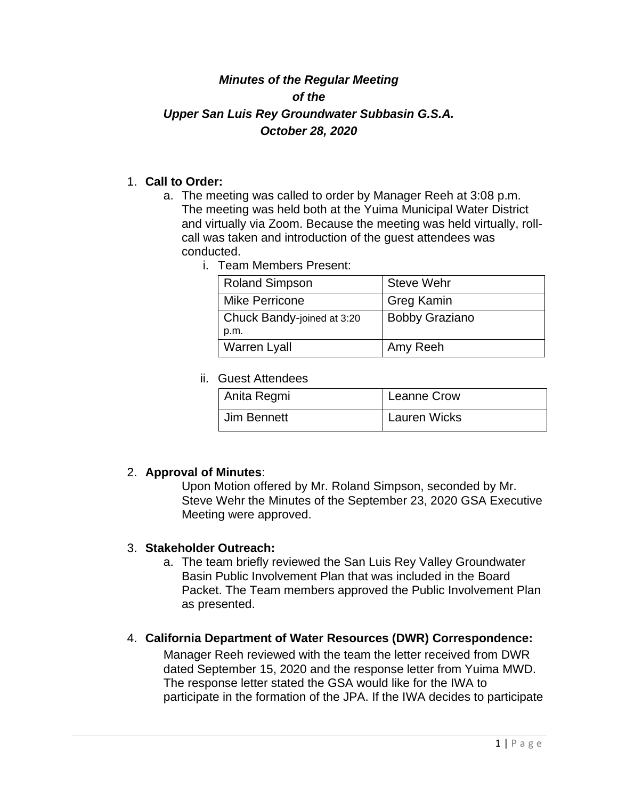# *Minutes of the Regular Meeting of the Upper San Luis Rey Groundwater Subbasin G.S.A. October 28, 2020*

### 1. **Call to Order:**

- a. The meeting was called to order by Manager Reeh at 3:08 p.m. The meeting was held both at the Yuima Municipal Water District and virtually via Zoom. Because the meeting was held virtually, rollcall was taken and introduction of the guest attendees was conducted.
	- i. Team Members Present:

| <b>Roland Simpson</b>      | <b>Steve Wehr</b>     |
|----------------------------|-----------------------|
| <b>Mike Perricone</b>      | <b>Greg Kamin</b>     |
| Chuck Bandy-joined at 3:20 | <b>Bobby Graziano</b> |
| p.m.                       |                       |
| <b>Warren Lyall</b>        | Amy Reeh              |

ii. Guest Attendees

| Anita Regmi | <b>Leanne Crow</b>  |
|-------------|---------------------|
| Jim Bennett | <b>Lauren Wicks</b> |

## 2. **Approval of Minutes**:

Upon Motion offered by Mr. Roland Simpson, seconded by Mr. Steve Wehr the Minutes of the September 23, 2020 GSA Executive Meeting were approved.

#### 3. **Stakeholder Outreach:**

a. The team briefly reviewed the San Luis Rey Valley Groundwater Basin Public Involvement Plan that was included in the Board Packet. The Team members approved the Public Involvement Plan as presented.

## 4. **California Department of Water Resources (DWR) Correspondence:**

Manager Reeh reviewed with the team the letter received from DWR dated September 15, 2020 and the response letter from Yuima MWD. The response letter stated the GSA would like for the IWA to participate in the formation of the JPA. If the IWA decides to participate